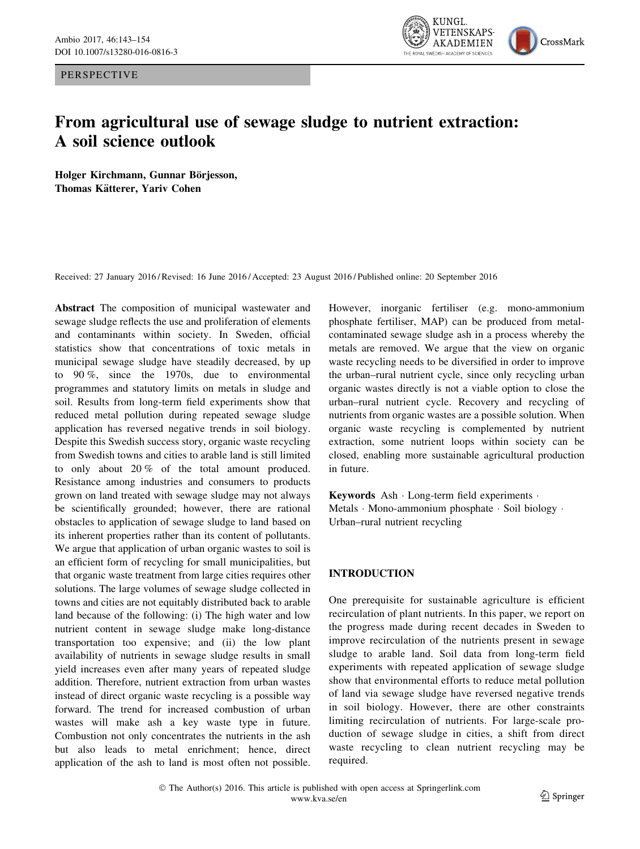PERSPECTIVE



# From agricultural use of sewage sludge to nutrient extraction: A soil science outlook

Holger Kirchmann, Gunnar Börjesson, Thomas Kätterer, Yariv Cohen

Received: 27 January 2016 / Revised: 16 June 2016 / Accepted: 23 August 2016 / Published online: 20 September 2016

Abstract The composition of municipal wastewater and sewage sludge reflects the use and proliferation of elements and contaminants within society. In Sweden, official statistics show that concentrations of toxic metals in municipal sewage sludge have steadily decreased, by up to 90 %, since the 1970s, due to environmental programmes and statutory limits on metals in sludge and soil. Results from long-term field experiments show that reduced metal pollution during repeated sewage sludge application has reversed negative trends in soil biology. Despite this Swedish success story, organic waste recycling from Swedish towns and cities to arable land is still limited to only about 20 % of the total amount produced. Resistance among industries and consumers to products grown on land treated with sewage sludge may not always be scientifically grounded; however, there are rational obstacles to application of sewage sludge to land based on its inherent properties rather than its content of pollutants. We argue that application of urban organic wastes to soil is an efficient form of recycling for small municipalities, but that organic waste treatment from large cities requires other solutions. The large volumes of sewage sludge collected in towns and cities are not equitably distributed back to arable land because of the following: (i) The high water and low nutrient content in sewage sludge make long-distance transportation too expensive; and (ii) the low plant availability of nutrients in sewage sludge results in small yield increases even after many years of repeated sludge addition. Therefore, nutrient extraction from urban wastes instead of direct organic waste recycling is a possible way forward. The trend for increased combustion of urban wastes will make ash a key waste type in future. Combustion not only concentrates the nutrients in the ash but also leads to metal enrichment; hence, direct application of the ash to land is most often not possible.

However, inorganic fertiliser (e.g. mono-ammonium phosphate fertiliser, MAP) can be produced from metalcontaminated sewage sludge ash in a process whereby the metals are removed. We argue that the view on organic waste recycling needs to be diversified in order to improve the urban–rural nutrient cycle, since only recycling urban organic wastes directly is not a viable option to close the urban–rural nutrient cycle. Recovery and recycling of nutrients from organic wastes are a possible solution. When organic waste recycling is complemented by nutrient extraction, some nutrient loops within society can be closed, enabling more sustainable agricultural production in future.

Keywords Ash - Long-term field experiments - Metals · Mono-ammonium phosphate · Soil biology · Urban–rural nutrient recycling

#### INTRODUCTION

One prerequisite for sustainable agriculture is efficient recirculation of plant nutrients. In this paper, we report on the progress made during recent decades in Sweden to improve recirculation of the nutrients present in sewage sludge to arable land. Soil data from long-term field experiments with repeated application of sewage sludge show that environmental efforts to reduce metal pollution of land via sewage sludge have reversed negative trends in soil biology. However, there are other constraints limiting recirculation of nutrients. For large-scale production of sewage sludge in cities, a shift from direct waste recycling to clean nutrient recycling may be required.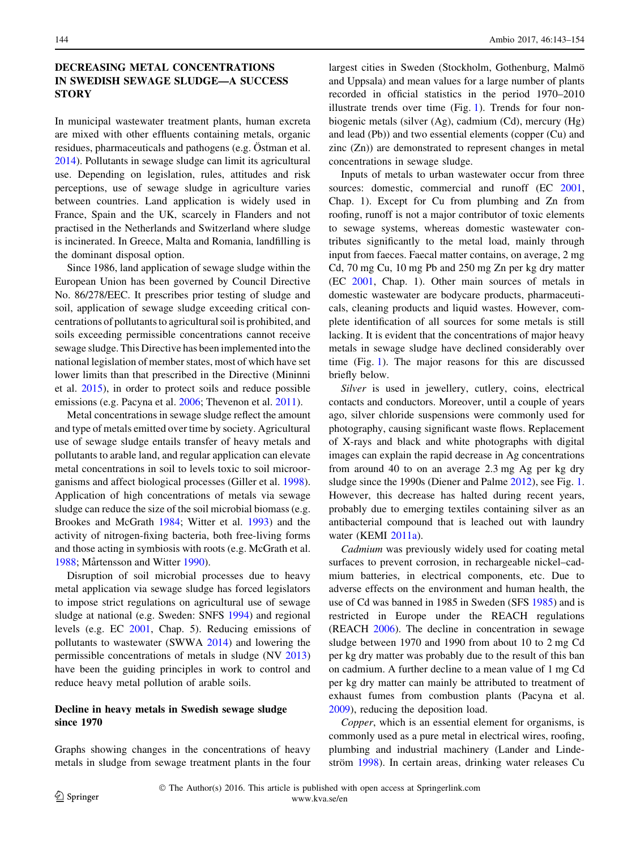# DECREASING METAL CONCENTRATIONS IN SWEDISH SEWAGE SLUDGE—A SUCCESS **STORY**

In municipal wastewater treatment plants, human excreta are mixed with other effluents containing metals, organic residues, pharmaceuticals and pathogens (e.g. Östman et al. [2014\)](#page-10-0). Pollutants in sewage sludge can limit its agricultural use. Depending on legislation, rules, attitudes and risk perceptions, use of sewage sludge in agriculture varies between countries. Land application is widely used in France, Spain and the UK, scarcely in Flanders and not practised in the Netherlands and Switzerland where sludge is incinerated. In Greece, Malta and Romania, landfilling is the dominant disposal option.

Since 1986, land application of sewage sludge within the European Union has been governed by Council Directive No. 86/278/EEC. It prescribes prior testing of sludge and soil, application of sewage sludge exceeding critical concentrations of pollutants to agricultural soil is prohibited, and soils exceeding permissible concentrations cannot receive sewage sludge. This Directive has been implemented into the national legislation of member states, most of which have set lower limits than that prescribed in the Directive (Mininni et al. [2015\)](#page-10-0), in order to protect soils and reduce possible emissions (e.g. Pacyna et al. [2006;](#page-10-0) Thevenon et al. [2011](#page-10-0)).

Metal concentrations in sewage sludge reflect the amount and type of metals emitted over time by society. Agricultural use of sewage sludge entails transfer of heavy metals and pollutants to arable land, and regular application can elevate metal concentrations in soil to levels toxic to soil microorganisms and affect biological processes (Giller et al. [1998](#page-9-0)). Application of high concentrations of metals via sewage sludge can reduce the size of the soil microbial biomass (e.g. Brookes and McGrath [1984;](#page-9-0) Witter et al. [1993](#page-11-0)) and the activity of nitrogen-fixing bacteria, both free-living forms and those acting in symbiosis with roots (e.g. McGrath et al. [1988;](#page-10-0) Mårtensson and Witter [1990](#page-10-0)).

Disruption of soil microbial processes due to heavy metal application via sewage sludge has forced legislators to impose strict regulations on agricultural use of sewage sludge at national (e.g. Sweden: SNFS [1994](#page-10-0)) and regional levels (e.g. EC [2001](#page-9-0), Chap. 5). Reducing emissions of pollutants to wastewater (SWWA [2014\)](#page-10-0) and lowering the permissible concentrations of metals in sludge (NV [2013\)](#page-10-0) have been the guiding principles in work to control and reduce heavy metal pollution of arable soils.

### Decline in heavy metals in Swedish sewage sludge since 1970

Graphs showing changes in the concentrations of heavy metals in sludge from sewage treatment plants in the four

largest cities in Sweden (Stockholm, Gothenburg, Malmo¨ and Uppsala) and mean values for a large number of plants recorded in official statistics in the period 1970–2010 illustrate trends over time (Fig. [1](#page-2-0)). Trends for four nonbiogenic metals (silver (Ag), cadmium (Cd), mercury (Hg) and lead (Pb)) and two essential elements (copper (Cu) and zinc (Zn)) are demonstrated to represent changes in metal concentrations in sewage sludge.

Inputs of metals to urban wastewater occur from three sources: domestic, commercial and runoff (EC [2001,](#page-9-0) Chap. 1). Except for Cu from plumbing and Zn from roofing, runoff is not a major contributor of toxic elements to sewage systems, whereas domestic wastewater contributes significantly to the metal load, mainly through input from faeces. Faecal matter contains, on average, 2 mg Cd, 70 mg Cu, 10 mg Pb and 250 mg Zn per kg dry matter (EC [2001,](#page-9-0) Chap. 1). Other main sources of metals in domestic wastewater are bodycare products, pharmaceuticals, cleaning products and liquid wastes. However, complete identification of all sources for some metals is still lacking. It is evident that the concentrations of major heavy metals in sewage sludge have declined considerably over time (Fig. [1\)](#page-2-0). The major reasons for this are discussed briefly below.

Silver is used in jewellery, cutlery, coins, electrical contacts and conductors. Moreover, until a couple of years ago, silver chloride suspensions were commonly used for photography, causing significant waste flows. Replacement of X-rays and black and white photographs with digital images can explain the rapid decrease in Ag concentrations from around 40 to on an average 2.3 mg Ag per kg dry sludge since the 1990s (Diener and Palme [2012](#page-9-0)), see Fig. [1.](#page-2-0) However, this decrease has halted during recent years, probably due to emerging textiles containing silver as an antibacterial compound that is leached out with laundry water (KEMI [2011a](#page-9-0)).

Cadmium was previously widely used for coating metal surfaces to prevent corrosion, in rechargeable nickel–cadmium batteries, in electrical components, etc. Due to adverse effects on the environment and human health, the use of Cd was banned in 1985 in Sweden (SFS [1985\)](#page-10-0) and is restricted in Europe under the REACH regulations (REACH [2006\)](#page-10-0). The decline in concentration in sewage sludge between 1970 and 1990 from about 10 to 2 mg Cd per kg dry matter was probably due to the result of this ban on cadmium. A further decline to a mean value of 1 mg Cd per kg dry matter can mainly be attributed to treatment of exhaust fumes from combustion plants (Pacyna et al. [2009](#page-10-0)), reducing the deposition load.

Copper, which is an essential element for organisms, is commonly used as a pure metal in electrical wires, roofing, plumbing and industrial machinery (Lander and Linde-ström [1998\)](#page-10-0). In certain areas, drinking water releases Cu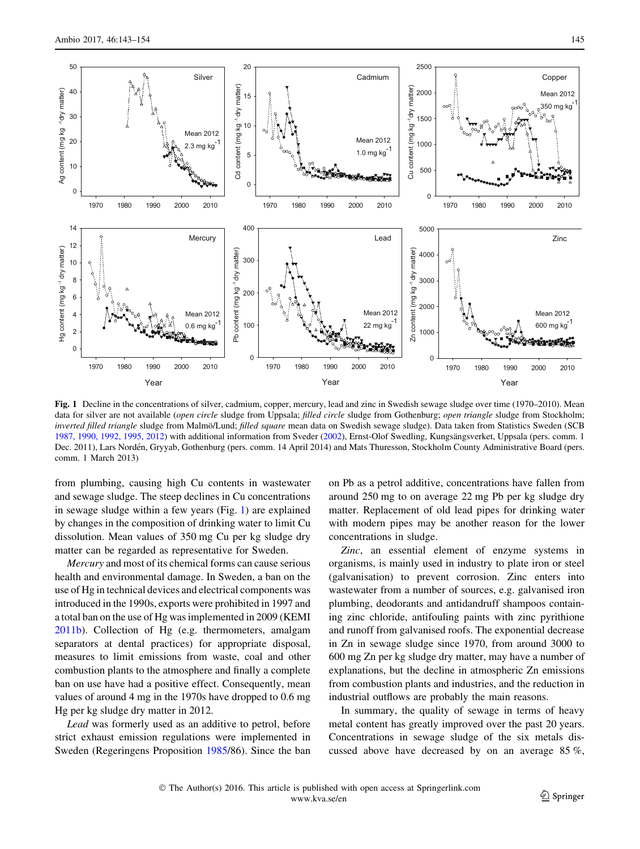<span id="page-2-0"></span>

Fig. 1 Decline in the concentrations of silver, cadmium, copper, mercury, lead and zinc in Swedish sewage sludge over time (1970–2010). Mean data for silver are not available (open circle sludge from Uppsala; filled circle sludge from Gothenburg; open triangle sludge from Stockholm; inverted filled triangle sludge from Malmö/Lund; filled square mean data on Swedish sewage sludge). Data taken from Statistics Sweden (SCB [1987, 1990, 1992, 1995, 2012\)](#page-10-0) with additional information from Sveder [\(2002](#page-10-0)), Ernst-Olof Swedling, Kungsängsverket, Uppsala (pers. comm. 1 Dec. 2011), Lars Nordén, Gryyab, Gothenburg (pers. comm. 14 April 2014) and Mats Thuresson, Stockholm County Administrative Board (pers. comm. 1 March 2013)

from plumbing, causing high Cu contents in wastewater and sewage sludge. The steep declines in Cu concentrations in sewage sludge within a few years (Fig. 1) are explained by changes in the composition of drinking water to limit Cu dissolution. Mean values of 350 mg Cu per kg sludge dry matter can be regarded as representative for Sweden.

Mercury and most of its chemical forms can cause serious health and environmental damage. In Sweden, a ban on the use of Hg in technical devices and electrical components was introduced in the 1990s, exports were prohibited in 1997 and a total ban on the use of Hg was implemented in 2009 (KEMI [2011b\)](#page-9-0). Collection of Hg (e.g. thermometers, amalgam separators at dental practices) for appropriate disposal, measures to limit emissions from waste, coal and other combustion plants to the atmosphere and finally a complete ban on use have had a positive effect. Consequently, mean values of around 4 mg in the 1970s have dropped to 0.6 mg Hg per kg sludge dry matter in 2012.

Lead was formerly used as an additive to petrol, before strict exhaust emission regulations were implemented in Sweden (Regeringens Proposition [1985/](#page-10-0)86). Since the ban on Pb as a petrol additive, concentrations have fallen from around 250 mg to on average 22 mg Pb per kg sludge dry matter. Replacement of old lead pipes for drinking water with modern pipes may be another reason for the lower concentrations in sludge.

Zinc, an essential element of enzyme systems in organisms, is mainly used in industry to plate iron or steel (galvanisation) to prevent corrosion. Zinc enters into wastewater from a number of sources, e.g. galvanised iron plumbing, deodorants and antidandruff shampoos containing zinc chloride, antifouling paints with zinc pyrithione and runoff from galvanised roofs. The exponential decrease in Zn in sewage sludge since 1970, from around 3000 to 600 mg Zn per kg sludge dry matter, may have a number of explanations, but the decline in atmospheric Zn emissions from combustion plants and industries, and the reduction in industrial outflows are probably the main reasons.

In summary, the quality of sewage in terms of heavy metal content has greatly improved over the past 20 years. Concentrations in sewage sludge of the six metals discussed above have decreased by on an average 85 %,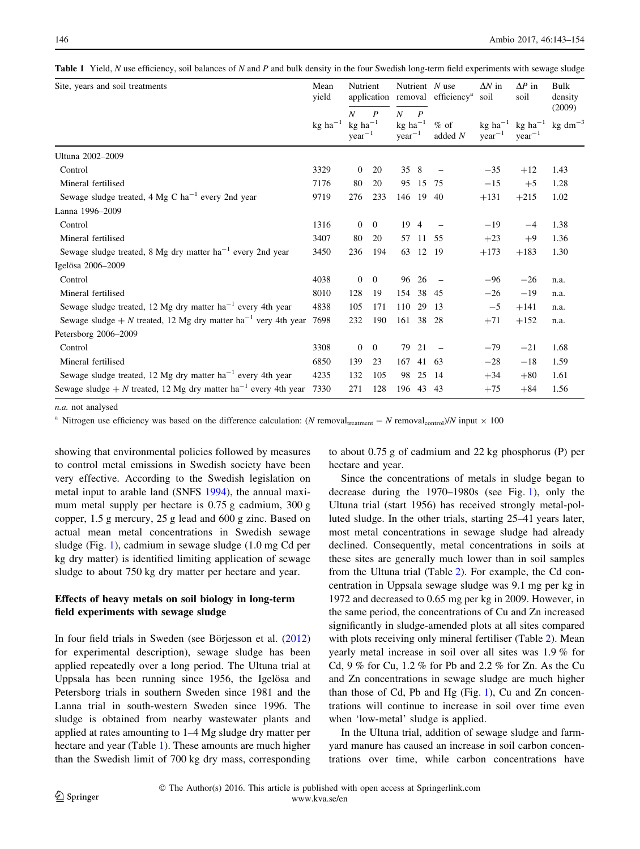<span id="page-3-0"></span>Table 1 Yield, N use efficiency, soil balances of N and P and bulk density in the four Swedish long-term field experiments with sewage sludge

| Site, years and soil treatments                                             |                                    | Nutrient<br>application removal efficiency <sup>a</sup>               |                  | Nutrient N use                                                        |                  |                          | $\Delta N$ in<br>soil                | $\Delta P$ in<br>soil                             | Bulk<br>density                |
|-----------------------------------------------------------------------------|------------------------------------|-----------------------------------------------------------------------|------------------|-----------------------------------------------------------------------|------------------|--------------------------|--------------------------------------|---------------------------------------------------|--------------------------------|
|                                                                             | $kg$ ha <sup><math>-1</math></sup> | $\boldsymbol{N}$<br>$kg$ ha <sup><math>-1</math></sup><br>$year^{-1}$ | $\boldsymbol{P}$ | $\boldsymbol{N}$<br>$kg$ ha <sup><math>-1</math></sup><br>$year^{-1}$ | $\boldsymbol{P}$ | $%$ of<br>added N        | $kg$ ha <sup>-1</sup><br>$year^{-1}$ | $kg$ ha <sup><math>-1</math></sup><br>$year^{-1}$ | (2009)<br>$kg \text{ dm}^{-3}$ |
| Ultuna 2002-2009                                                            |                                    |                                                                       |                  |                                                                       |                  |                          |                                      |                                                   |                                |
| Control                                                                     | 3329                               | $\Omega$                                                              | 20               | 35                                                                    | 8                | $\overline{\phantom{0}}$ | $-35$                                | $+12$                                             | 1.43                           |
| Mineral fertilised                                                          | 7176                               | 80                                                                    | 20               | 95                                                                    | 15               | 75                       | $-15$                                | $+5$                                              | 1.28                           |
| Sewage sludge treated, $4 \text{ Mg C} \text{ ha}^{-1}$ every 2nd year      | 9719                               | 276                                                                   | 233              | 146                                                                   | 19               | 40                       | $+131$                               | $+215$                                            | 1.02                           |
| Lanna 1996-2009                                                             |                                    |                                                                       |                  |                                                                       |                  |                          |                                      |                                                   |                                |
| Control                                                                     | 1316                               | $\overline{0}$                                                        | $\overline{0}$   | 19                                                                    | $\overline{4}$   |                          | $-19$                                | $-4$                                              | 1.38                           |
| Mineral fertilised                                                          | 3407                               | 80                                                                    | 20               | 57                                                                    | 11 55            |                          | $+23$                                | $+9$                                              | 1.36                           |
| Sewage sludge treated, 8 Mg dry matter $ha^{-1}$ every 2nd year             | 3450                               | 236                                                                   | 194              | 63                                                                    | 12               | - 19                     | $+173$                               | $+183$                                            | 1.30                           |
| Igelösa 2006-2009                                                           |                                    |                                                                       |                  |                                                                       |                  |                          |                                      |                                                   |                                |
| Control                                                                     | 4038                               | $\mathbf{0}$                                                          | $\Omega$         | 96                                                                    | 26               | $\overline{\phantom{a}}$ | $-96$                                | $-26$                                             | n.a.                           |
| Mineral fertilised                                                          | 8010                               | 128                                                                   | 19               | 154                                                                   | 38               | -45                      | $-26$                                | $-19$                                             | n.a.                           |
| Sewage sludge treated, 12 Mg dry matter $ha^{-1}$ every 4th year            | 4838                               | 105                                                                   | 171              | 110                                                                   | 29 13            |                          | $-5$                                 | $+141$                                            | n.a.                           |
| Sewage sludge + N treated, 12 Mg dry matter ha <sup>-1</sup> very 4th year  | 7698                               | 232                                                                   | 190              | 161                                                                   | 38 28            |                          | $+71$                                | $+152$                                            | n.a.                           |
| Petersborg 2006-2009                                                        |                                    |                                                                       |                  |                                                                       |                  |                          |                                      |                                                   |                                |
| Control                                                                     | 3308                               | $\mathbf{0}$                                                          | $\overline{0}$   | 79                                                                    | 21               | $\overline{\phantom{a}}$ | $-79$                                | $-21$                                             | 1.68                           |
| Mineral fertilised                                                          | 6850                               | 139                                                                   | 23               | 167                                                                   | 41               | 63                       | $-28$                                | $-18$                                             | 1.59                           |
| Sewage sludge treated, 12 Mg dry matter $ha^{-1}$ every 4th year            | 4235                               | 132                                                                   | 105              | 98                                                                    | 25               | -14                      | $+34$                                | $+80$                                             | 1.61                           |
| Sewage sludge + N treated, 12 Mg dry matter ha <sup>-1</sup> every 4th year | 7330                               | 271                                                                   | 128              | 196                                                                   | 43               | 43                       | $+75$                                | $+84$                                             | 1.56                           |

n.a. not analysed

<sup>a</sup> Nitrogen use efficiency was based on the difference calculation: (N removal<sub>treatment</sub> – N removal<sub>control</sub>)/N input  $\times$  100

showing that environmental policies followed by measures to control metal emissions in Swedish society have been very effective. According to the Swedish legislation on metal input to arable land (SNFS [1994\)](#page-10-0), the annual maximum metal supply per hectare is 0.75 g cadmium, 300 g copper, 1.5 g mercury, 25 g lead and 600 g zinc. Based on actual mean metal concentrations in Swedish sewage sludge (Fig. [1\)](#page-2-0), cadmium in sewage sludge (1.0 mg Cd per kg dry matter) is identified limiting application of sewage sludge to about 750 kg dry matter per hectare and year.

# Effects of heavy metals on soil biology in long-term field experiments with sewage sludge

In four field trials in Sweden (see Börjesson et al.  $(2012)$  $(2012)$ ) for experimental description), sewage sludge has been applied repeatedly over a long period. The Ultuna trial at Uppsala has been running since 1956, the Igelösa and Petersborg trials in southern Sweden since 1981 and the Lanna trial in south-western Sweden since 1996. The sludge is obtained from nearby wastewater plants and applied at rates amounting to 1–4 Mg sludge dry matter per hectare and year (Table 1). These amounts are much higher than the Swedish limit of 700 kg dry mass, corresponding to about 0.75 g of cadmium and 22 kg phosphorus (P) per hectare and year.

Since the concentrations of metals in sludge began to decrease during the 1970–1980s (see Fig. [1\)](#page-2-0), only the Ultuna trial (start 1956) has received strongly metal-polluted sludge. In the other trials, starting 25–41 years later, most metal concentrations in sewage sludge had already declined. Consequently, metal concentrations in soils at these sites are generally much lower than in soil samples from the Ultuna trial (Table [2\)](#page-4-0). For example, the Cd concentration in Uppsala sewage sludge was 9.1 mg per kg in 1972 and decreased to 0.65 mg per kg in 2009. However, in the same period, the concentrations of Cu and Zn increased significantly in sludge-amended plots at all sites compared with plots receiving only mineral fertiliser (Table [2\)](#page-4-0). Mean yearly metal increase in soil over all sites was 1.9 % for Cd, 9 % for Cu, 1.2 % for Pb and 2.2 % for Zn. As the Cu and Zn concentrations in sewage sludge are much higher than those of Cd, Pb and Hg (Fig. [1](#page-2-0)), Cu and Zn concentrations will continue to increase in soil over time even when 'low-metal' sludge is applied.

In the Ultuna trial, addition of sewage sludge and farmyard manure has caused an increase in soil carbon concentrations over time, while carbon concentrations have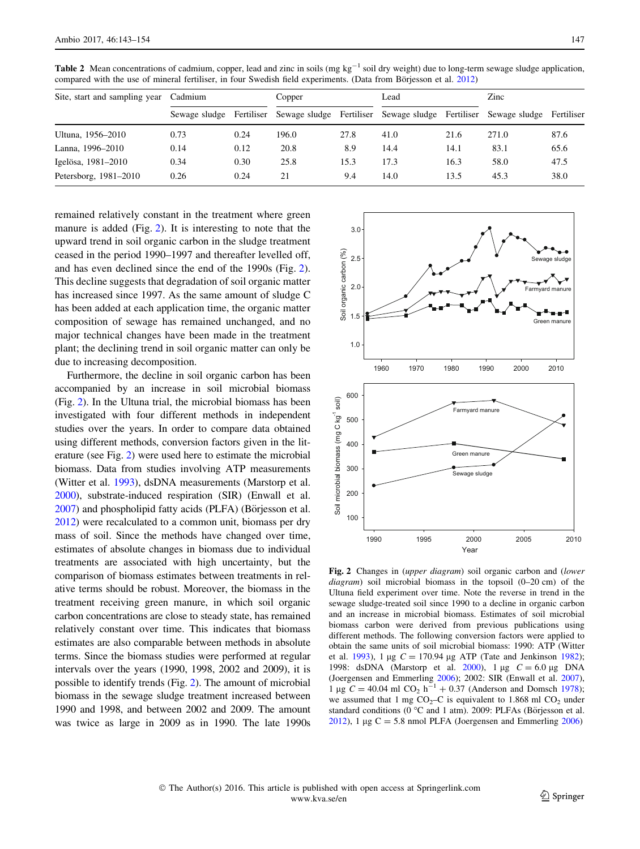| Site, start and sampling year Cadmium |      |      | Copper                                                                                              |      | Lead |      | Zinc  |      |
|---------------------------------------|------|------|-----------------------------------------------------------------------------------------------------|------|------|------|-------|------|
|                                       |      |      | Sewage sludge Fertiliser Sewage sludge Fertiliser Sewage sludge Fertiliser Sewage sludge Fertiliser |      |      |      |       |      |
| Ultuna, 1956–2010                     | 0.73 | 0.24 | 196.0                                                                                               | 27.8 | 41.0 | 21.6 | 271.0 | 87.6 |
| Lanna, 1996–2010                      | 0.14 | 0.12 | 20.8                                                                                                | 8.9  | 14.4 | 14.1 | 83.1  | 65.6 |
| Igelösa, 1981–2010                    | 0.34 | 0.30 | 25.8                                                                                                | 15.3 | 17.3 | 16.3 | 58.0  | 47.5 |
| Petersborg, 1981–2010                 | 0.26 | 0.24 | 21                                                                                                  | 9.4  | 14.0 | 13.5 | 45.3  | 38.0 |

<span id="page-4-0"></span>**Table 2** Mean concentrations of cadmium, copper, lead and zinc in soils (mg  $kg^{-1}$  soil dry weight) due to long-term sewage sludge application, compared with the use of mineral fertiliser, in four Swedish field experiments. (Data from Böriesson et al. [2012](#page-9-0))

remained relatively constant in the treatment where green manure is added (Fig. 2). It is interesting to note that the upward trend in soil organic carbon in the sludge treatment ceased in the period 1990–1997 and thereafter levelled off, and has even declined since the end of the 1990s (Fig. 2). This decline suggests that degradation of soil organic matter has increased since 1997. As the same amount of sludge C has been added at each application time, the organic matter composition of sewage has remained unchanged, and no major technical changes have been made in the treatment plant; the declining trend in soil organic matter can only be due to increasing decomposition.

Furthermore, the decline in soil organic carbon has been accompanied by an increase in soil microbial biomass (Fig. 2). In the Ultuna trial, the microbial biomass has been investigated with four different methods in independent studies over the years. In order to compare data obtained using different methods, conversion factors given in the literature (see Fig. 2) were used here to estimate the microbial biomass. Data from studies involving ATP measurements (Witter et al. [1993](#page-11-0)), dsDNA measurements (Marstorp et al. [2000\)](#page-10-0), substrate-induced respiration (SIR) (Enwall et al. [2007\)](#page-9-0) and phospholipid fatty acids (PLFA) (Börjesson et al. [2012\)](#page-9-0) were recalculated to a common unit, biomass per dry mass of soil. Since the methods have changed over time, estimates of absolute changes in biomass due to individual treatments are associated with high uncertainty, but the comparison of biomass estimates between treatments in relative terms should be robust. Moreover, the biomass in the treatment receiving green manure, in which soil organic carbon concentrations are close to steady state, has remained relatively constant over time. This indicates that biomass estimates are also comparable between methods in absolute terms. Since the biomass studies were performed at regular intervals over the years (1990, 1998, 2002 and 2009), it is possible to identify trends (Fig. 2). The amount of microbial biomass in the sewage sludge treatment increased between 1990 and 1998, and between 2002 and 2009. The amount was twice as large in 2009 as in 1990. The late 1990s



Fig. 2 Changes in (upper diagram) soil organic carbon and (lower diagram) soil microbial biomass in the topsoil (0–20 cm) of the Ultuna field experiment over time. Note the reverse in trend in the sewage sludge-treated soil since 1990 to a decline in organic carbon and an increase in microbial biomass. Estimates of soil microbial biomass carbon were derived from previous publications using different methods. The following conversion factors were applied to obtain the same units of soil microbial biomass: 1990: ATP (Witter et al. [1993\)](#page-11-0), 1  $\mu$ g  $C = 170.94 \mu$ g ATP (Tate and Jenkinson [1982](#page-10-0)); 1998: dsDNA (Marstorp et al. [2000\)](#page-10-0),  $1 \mu g$   $C = 6.0 \mu g$  DNA (Joergensen and Emmerling [2006\)](#page-9-0); 2002: SIR (Enwall et al. [2007](#page-9-0)), 1 µg  $C = 40.04$  ml CO<sub>2</sub> h<sup>-1</sup> + 0.37 (Anderson and Domsch [1978](#page-9-0)); we assumed that 1 mg  $CO<sub>2</sub>-C$  is equivalent to 1.868 ml  $CO<sub>2</sub>$  under standard conditions ( $0^{\circ}$ C and 1 atm). 2009: PLFAs (Börjesson et al. [2012](#page-9-0)), 1  $\mu$ g C = 5.8 nmol PLFA (Joergensen and Emmerling [2006\)](#page-9-0)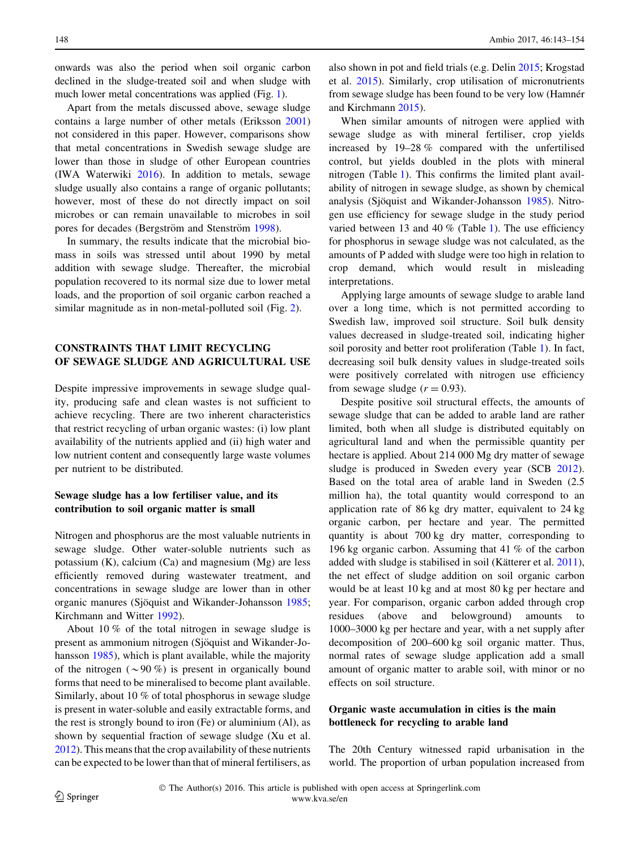onwards was also the period when soil organic carbon declined in the sludge-treated soil and when sludge with much lower metal concentrations was applied (Fig. [1\)](#page-2-0).

Apart from the metals discussed above, sewage sludge contains a large number of other metals (Eriksson [2001\)](#page-9-0) not considered in this paper. However, comparisons show that metal concentrations in Swedish sewage sludge are lower than those in sludge of other European countries (IWA Waterwiki [2016\)](#page-9-0). In addition to metals, sewage sludge usually also contains a range of organic pollutants; however, most of these do not directly impact on soil microbes or can remain unavailable to microbes in soil pores for decades (Bergström and Stenström [1998](#page-9-0)).

In summary, the results indicate that the microbial biomass in soils was stressed until about 1990 by metal addition with sewage sludge. Thereafter, the microbial population recovered to its normal size due to lower metal loads, and the proportion of soil organic carbon reached a similar magnitude as in non-metal-polluted soil (Fig. [2](#page-4-0)).

### CONSTRAINTS THAT LIMIT RECYCLING OF SEWAGE SLUDGE AND AGRICULTURAL USE

Despite impressive improvements in sewage sludge quality, producing safe and clean wastes is not sufficient to achieve recycling. There are two inherent characteristics that restrict recycling of urban organic wastes: (i) low plant availability of the nutrients applied and (ii) high water and low nutrient content and consequently large waste volumes per nutrient to be distributed.

### Sewage sludge has a low fertiliser value, and its contribution to soil organic matter is small

Nitrogen and phosphorus are the most valuable nutrients in sewage sludge. Other water-soluble nutrients such as potassium (K), calcium (Ca) and magnesium (Mg) are less efficiently removed during wastewater treatment, and concentrations in sewage sludge are lower than in other organic manures (Sjöquist and Wikander-Johansson [1985](#page-10-0); Kirchmann and Witter [1992](#page-9-0)).

About 10 % of the total nitrogen in sewage sludge is present as ammonium nitrogen (Sjöquist and Wikander-Johansson [1985\)](#page-10-0), which is plant available, while the majority of the nitrogen ( $\sim$ 90 %) is present in organically bound forms that need to be mineralised to become plant available. Similarly, about 10 % of total phosphorus in sewage sludge is present in water-soluble and easily extractable forms, and the rest is strongly bound to iron (Fe) or aluminium (Al), as shown by sequential fraction of sewage sludge (Xu et al. [2012\)](#page-11-0). This means that the crop availability of these nutrients can be expected to be lower than that of mineral fertilisers, as also shown in pot and field trials (e.g. Delin [2015](#page-9-0); Krogstad et al. [2015\)](#page-10-0). Similarly, crop utilisation of micronutrients from sewage sludge has been found to be very low (Hamnér and Kirchmann [2015\)](#page-9-0).

When similar amounts of nitrogen were applied with sewage sludge as with mineral fertiliser, crop yields increased by 19–28 % compared with the unfertilised control, but yields doubled in the plots with mineral nitrogen (Table [1](#page-3-0)). This confirms the limited plant availability of nitrogen in sewage sludge, as shown by chemical analysis (Sjöquist and Wikander-Johansson [1985\)](#page-10-0). Nitrogen use efficiency for sewage sludge in the study period varied between 13 and 40 % (Table [1](#page-3-0)). The use efficiency for phosphorus in sewage sludge was not calculated, as the amounts of P added with sludge were too high in relation to crop demand, which would result in misleading interpretations.

Applying large amounts of sewage sludge to arable land over a long time, which is not permitted according to Swedish law, improved soil structure. Soil bulk density values decreased in sludge-treated soil, indicating higher soil porosity and better root proliferation (Table [1](#page-3-0)). In fact, decreasing soil bulk density values in sludge-treated soils were positively correlated with nitrogen use efficiency from sewage sludge  $(r = 0.93)$ .

Despite positive soil structural effects, the amounts of sewage sludge that can be added to arable land are rather limited, both when all sludge is distributed equitably on agricultural land and when the permissible quantity per hectare is applied. About 214 000 Mg dry matter of sewage sludge is produced in Sweden every year (SCB [2012](#page-10-0)). Based on the total area of arable land in Sweden (2.5 million ha), the total quantity would correspond to an application rate of 86 kg dry matter, equivalent to 24 kg organic carbon, per hectare and year. The permitted quantity is about 700 kg dry matter, corresponding to 196 kg organic carbon. Assuming that 41 % of the carbon added with sludge is stabilised in soil (Kätterer et al. [2011](#page-9-0)), the net effect of sludge addition on soil organic carbon would be at least 10 kg and at most 80 kg per hectare and year. For comparison, organic carbon added through crop residues (above and belowground) amounts to 1000–3000 kg per hectare and year, with a net supply after decomposition of 200–600 kg soil organic matter. Thus, normal rates of sewage sludge application add a small amount of organic matter to arable soil, with minor or no effects on soil structure.

# Organic waste accumulation in cities is the main bottleneck for recycling to arable land

The 20th Century witnessed rapid urbanisation in the world. The proportion of urban population increased from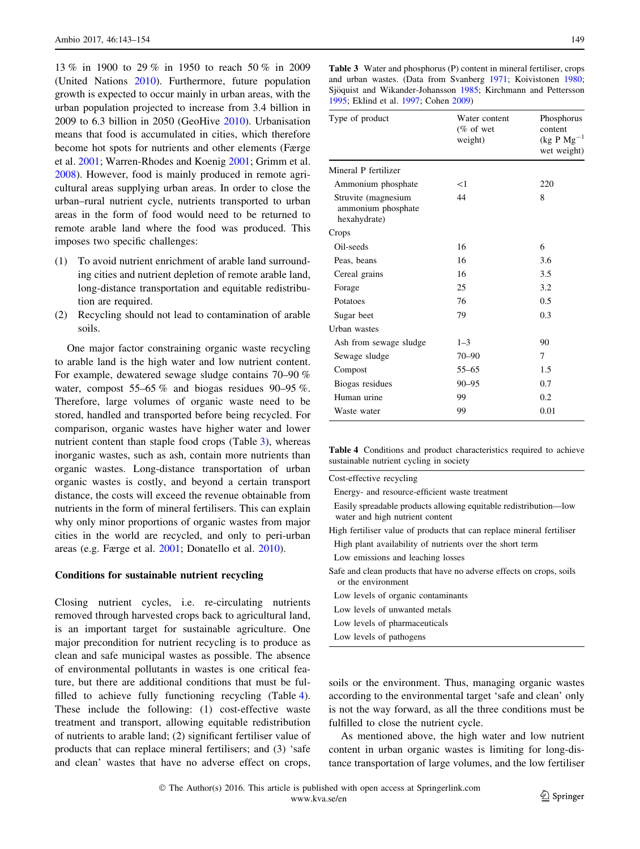<span id="page-6-0"></span>13 % in 1900 to 29 % in 1950 to reach 50 % in 2009 (United Nations [2010](#page-10-0)). Furthermore, future population growth is expected to occur mainly in urban areas, with the urban population projected to increase from 3.4 billion in 2009 to 6.3 billion in 2050 (GeoHive [2010](#page-9-0)). Urbanisation means that food is accumulated in cities, which therefore become hot spots for nutrients and other elements (Færge et al. [2001](#page-9-0); Warren-Rhodes and Koenig [2001;](#page-11-0) Grimm et al. [2008\)](#page-9-0). However, food is mainly produced in remote agricultural areas supplying urban areas. In order to close the urban–rural nutrient cycle, nutrients transported to urban areas in the form of food would need to be returned to remote arable land where the food was produced. This imposes two specific challenges:

- (1) To avoid nutrient enrichment of arable land surrounding cities and nutrient depletion of remote arable land, long-distance transportation and equitable redistribution are required.
- (2) Recycling should not lead to contamination of arable soils.

One major factor constraining organic waste recycling to arable land is the high water and low nutrient content. For example, dewatered sewage sludge contains 70–90 % water, compost 55–65 % and biogas residues 90–95 %. Therefore, large volumes of organic waste need to be stored, handled and transported before being recycled. For comparison, organic wastes have higher water and lower nutrient content than staple food crops (Table 3), whereas inorganic wastes, such as ash, contain more nutrients than organic wastes. Long-distance transportation of urban organic wastes is costly, and beyond a certain transport distance, the costs will exceed the revenue obtainable from nutrients in the form of mineral fertilisers. This can explain why only minor proportions of organic wastes from major cities in the world are recycled, and only to peri-urban areas (e.g. Færge et al. [2001;](#page-9-0) Donatello et al. [2010\)](#page-9-0).

#### Conditions for sustainable nutrient recycling

Closing nutrient cycles, i.e. re-circulating nutrients removed through harvested crops back to agricultural land, is an important target for sustainable agriculture. One major precondition for nutrient recycling is to produce as clean and safe municipal wastes as possible. The absence of environmental pollutants in wastes is one critical feature, but there are additional conditions that must be fulfilled to achieve fully functioning recycling (Table 4). These include the following: (1) cost-effective waste treatment and transport, allowing equitable redistribution of nutrients to arable land; (2) significant fertiliser value of products that can replace mineral fertilisers; and (3) 'safe and clean' wastes that have no adverse effect on crops, Table 3 Water and phosphorus (P) content in mineral fertiliser, crops and urban wastes. (Data from Svanberg [1971](#page-10-0); Koivistonen [1980;](#page-10-0) Sjöquist and Wikander-Johansson [1985](#page-10-0); Kirchmann and Pettersson [1995](#page-9-0); Eklind et al. [1997;](#page-9-0) Cohen [2009\)](#page-9-0)

| Type of product                                           | Water content<br>(% of wet<br>weight) | Phosphorus<br>content<br>$(kg P Mg^{-1})$<br>wet weight) |
|-----------------------------------------------------------|---------------------------------------|----------------------------------------------------------|
| Mineral P fertilizer                                      |                                       |                                                          |
| Ammonium phosphate                                        | $<$ 1                                 | 220                                                      |
| Struvite (magnesium<br>ammonium phosphate<br>hexahydrate) | 44                                    | 8                                                        |
| Crops                                                     |                                       |                                                          |
| Oil-seeds                                                 | 16                                    | 6                                                        |
| Peas, beans                                               | 16                                    | 3.6                                                      |
| Cereal grains                                             | 16                                    | 3.5                                                      |
| Forage                                                    | 25                                    | 3.2                                                      |
| Potatoes                                                  | 76                                    | 0.5                                                      |
| Sugar beet                                                | 79                                    | 0.3                                                      |
| Urban wastes                                              |                                       |                                                          |
| Ash from sewage sludge                                    | $1 - 3$                               | 90                                                       |
| Sewage sludge                                             | $70 - 90$                             | 7                                                        |
| Compost                                                   | $55 - 65$                             | 1.5                                                      |
| Biogas residues                                           | $90 - 95$                             | 0.7                                                      |
| Human urine                                               | 99                                    | 0.2                                                      |
| Waste water                                               | 99                                    | 0.01                                                     |
|                                                           |                                       |                                                          |

Table 4 Conditions and product characteristics required to achieve sustainable nutrient cycling in society

Cost-effective recycling Energy- and resource-efficient waste treatment Easily spreadable products allowing equitable redistribution—low water and high nutrient content High fertiliser value of products that can replace mineral fertiliser High plant availability of nutrients over the short term Low emissions and leaching losses Safe and clean products that have no adverse effects on crops, soils or the environment Low levels of organic contaminants Low levels of unwanted metals Low levels of pharmaceuticals Low levels of pathogens

soils or the environment. Thus, managing organic wastes according to the environmental target 'safe and clean' only is not the way forward, as all the three conditions must be fulfilled to close the nutrient cycle.

As mentioned above, the high water and low nutrient content in urban organic wastes is limiting for long-distance transportation of large volumes, and the low fertiliser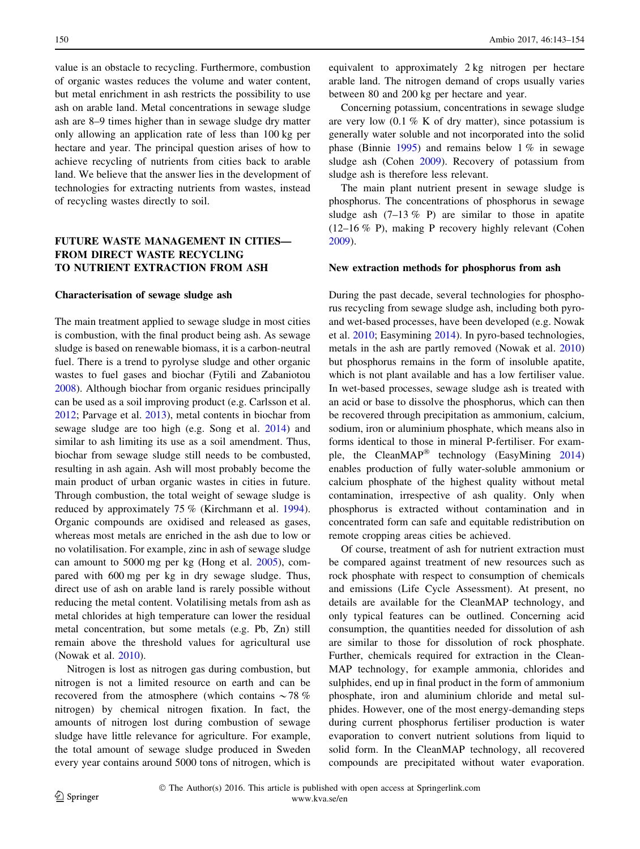value is an obstacle to recycling. Furthermore, combustion of organic wastes reduces the volume and water content, but metal enrichment in ash restricts the possibility to use ash on arable land. Metal concentrations in sewage sludge ash are 8–9 times higher than in sewage sludge dry matter only allowing an application rate of less than 100 kg per hectare and year. The principal question arises of how to achieve recycling of nutrients from cities back to arable land. We believe that the answer lies in the development of technologies for extracting nutrients from wastes, instead of recycling wastes directly to soil.

# FUTURE WASTE MANAGEMENT IN CITIES— FROM DIRECT WASTE RECYCLING TO NUTRIENT EXTRACTION FROM ASH

#### Characterisation of sewage sludge ash

The main treatment applied to sewage sludge in most cities is combustion, with the final product being ash. As sewage sludge is based on renewable biomass, it is a carbon-neutral fuel. There is a trend to pyrolyse sludge and other organic wastes to fuel gases and biochar (Fytili and Zabaniotou [2008\)](#page-9-0). Although biochar from organic residues principally can be used as a soil improving product (e.g. Carlsson et al. [2012;](#page-9-0) Parvage et al. [2013](#page-10-0)), metal contents in biochar from sewage sludge are too high (e.g. Song et al. [2014\)](#page-10-0) and similar to ash limiting its use as a soil amendment. Thus, biochar from sewage sludge still needs to be combusted, resulting in ash again. Ash will most probably become the main product of urban organic wastes in cities in future. Through combustion, the total weight of sewage sludge is reduced by approximately 75 % (Kirchmann et al. [1994](#page-9-0)). Organic compounds are oxidised and released as gases, whereas most metals are enriched in the ash due to low or no volatilisation. For example, zinc in ash of sewage sludge can amount to 5000 mg per kg (Hong et al. [2005\)](#page-9-0), compared with 600 mg per kg in dry sewage sludge. Thus, direct use of ash on arable land is rarely possible without reducing the metal content. Volatilising metals from ash as metal chlorides at high temperature can lower the residual metal concentration, but some metals (e.g. Pb, Zn) still remain above the threshold values for agricultural use (Nowak et al. [2010](#page-10-0)).

Nitrogen is lost as nitrogen gas during combustion, but nitrogen is not a limited resource on earth and can be recovered from the atmosphere (which contains  $\sim$  78 % nitrogen) by chemical nitrogen fixation. In fact, the amounts of nitrogen lost during combustion of sewage sludge have little relevance for agriculture. For example, the total amount of sewage sludge produced in Sweden every year contains around 5000 tons of nitrogen, which is equivalent to approximately 2 kg nitrogen per hectare arable land. The nitrogen demand of crops usually varies between 80 and 200 kg per hectare and year.

Concerning potassium, concentrations in sewage sludge are very low  $(0.1 \% K \text{ of dry matter})$ , since potassium is generally water soluble and not incorporated into the solid phase (Binnie [1995\)](#page-9-0) and remains below 1 % in sewage sludge ash (Cohen [2009\)](#page-9-0). Recovery of potassium from sludge ash is therefore less relevant.

The main plant nutrient present in sewage sludge is phosphorus. The concentrations of phosphorus in sewage sludge ash  $(7-13\% \text{ P})$  are similar to those in apatite (12–16 % P), making P recovery highly relevant (Cohen [2009](#page-9-0)).

#### New extraction methods for phosphorus from ash

During the past decade, several technologies for phosphorus recycling from sewage sludge ash, including both pyroand wet-based processes, have been developed (e.g. Nowak et al. [2010;](#page-10-0) Easymining [2014\)](#page-9-0). In pyro-based technologies, metals in the ash are partly removed (Nowak et al. [2010\)](#page-10-0) but phosphorus remains in the form of insoluble apatite, which is not plant available and has a low fertiliser value. In wet-based processes, sewage sludge ash is treated with an acid or base to dissolve the phosphorus, which can then be recovered through precipitation as ammonium, calcium, sodium, iron or aluminium phosphate, which means also in forms identical to those in mineral P-fertiliser. For example, the CleanMAP<sup>®</sup> technology (EasyMining  $2014$ ) enables production of fully water-soluble ammonium or calcium phosphate of the highest quality without metal contamination, irrespective of ash quality. Only when phosphorus is extracted without contamination and in concentrated form can safe and equitable redistribution on remote cropping areas cities be achieved.

Of course, treatment of ash for nutrient extraction must be compared against treatment of new resources such as rock phosphate with respect to consumption of chemicals and emissions (Life Cycle Assessment). At present, no details are available for the CleanMAP technology, and only typical features can be outlined. Concerning acid consumption, the quantities needed for dissolution of ash are similar to those for dissolution of rock phosphate. Further, chemicals required for extraction in the Clean-MAP technology, for example ammonia, chlorides and sulphides, end up in final product in the form of ammonium phosphate, iron and aluminium chloride and metal sulphides. However, one of the most energy-demanding steps during current phosphorus fertiliser production is water evaporation to convert nutrient solutions from liquid to solid form. In the CleanMAP technology, all recovered compounds are precipitated without water evaporation.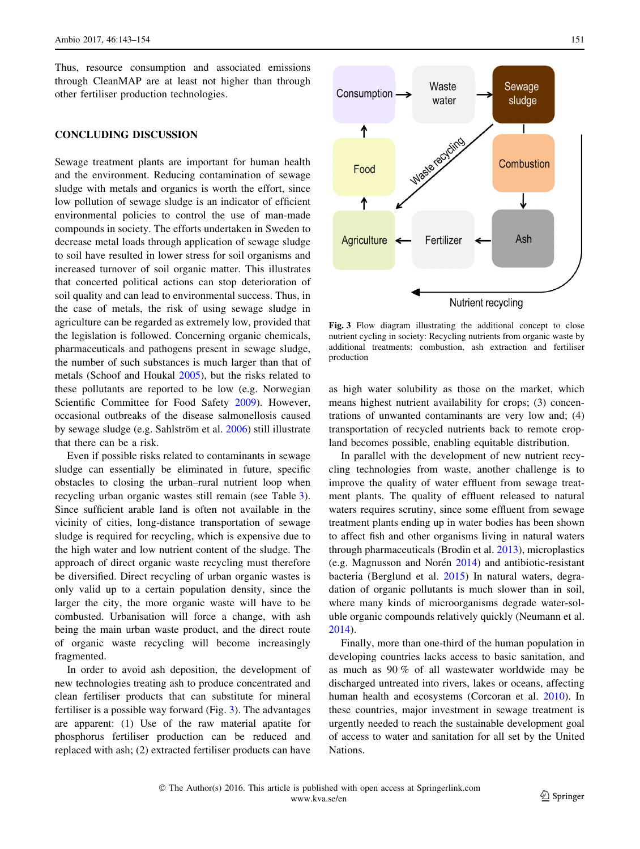Thus, resource consumption and associated emissions through CleanMAP are at least not higher than through other fertiliser production technologies.

#### CONCLUDING DISCUSSION

Sewage treatment plants are important for human health and the environment. Reducing contamination of sewage sludge with metals and organics is worth the effort, since low pollution of sewage sludge is an indicator of efficient environmental policies to control the use of man-made compounds in society. The efforts undertaken in Sweden to decrease metal loads through application of sewage sludge to soil have resulted in lower stress for soil organisms and increased turnover of soil organic matter. This illustrates that concerted political actions can stop deterioration of soil quality and can lead to environmental success. Thus, in the case of metals, the risk of using sewage sludge in agriculture can be regarded as extremely low, provided that the legislation is followed. Concerning organic chemicals, pharmaceuticals and pathogens present in sewage sludge, the number of such substances is much larger than that of metals (Schoof and Houkal [2005\)](#page-10-0), but the risks related to these pollutants are reported to be low (e.g. Norwegian Scientific Committee for Food Safety [2009\)](#page-10-0). However, occasional outbreaks of the disease salmonellosis caused by sewage sludge (e.g. Sahlström et al. [2006](#page-10-0)) still illustrate that there can be a risk.

Even if possible risks related to contaminants in sewage sludge can essentially be eliminated in future, specific obstacles to closing the urban–rural nutrient loop when recycling urban organic wastes still remain (see Table [3](#page-6-0)). Since sufficient arable land is often not available in the vicinity of cities, long-distance transportation of sewage sludge is required for recycling, which is expensive due to the high water and low nutrient content of the sludge. The approach of direct organic waste recycling must therefore be diversified. Direct recycling of urban organic wastes is only valid up to a certain population density, since the larger the city, the more organic waste will have to be combusted. Urbanisation will force a change, with ash being the main urban waste product, and the direct route of organic waste recycling will become increasingly fragmented.

In order to avoid ash deposition, the development of new technologies treating ash to produce concentrated and clean fertiliser products that can substitute for mineral fertiliser is a possible way forward (Fig. 3). The advantages are apparent: (1) Use of the raw material apatite for phosphorus fertiliser production can be reduced and replaced with ash; (2) extracted fertiliser products can have



Fig. 3 Flow diagram illustrating the additional concept to close nutrient cycling in society: Recycling nutrients from organic waste by additional treatments: combustion, ash extraction and fertiliser production

as high water solubility as those on the market, which means highest nutrient availability for crops; (3) concentrations of unwanted contaminants are very low and; (4) transportation of recycled nutrients back to remote cropland becomes possible, enabling equitable distribution.

In parallel with the development of new nutrient recycling technologies from waste, another challenge is to improve the quality of water effluent from sewage treatment plants. The quality of effluent released to natural waters requires scrutiny, since some effluent from sewage treatment plants ending up in water bodies has been shown to affect fish and other organisms living in natural waters through pharmaceuticals (Brodin et al. [2013\)](#page-9-0), microplastics (e.g. Magnusson and Norén  $2014$ ) and antibiotic-resistant bacteria (Berglund et al. [2015](#page-9-0)) In natural waters, degradation of organic pollutants is much slower than in soil, where many kinds of microorganisms degrade water-soluble organic compounds relatively quickly (Neumann et al. [2014](#page-10-0)).

Finally, more than one-third of the human population in developing countries lacks access to basic sanitation, and as much as 90 % of all wastewater worldwide may be discharged untreated into rivers, lakes or oceans, affecting human health and ecosystems (Corcoran et al. [2010\)](#page-9-0). In these countries, major investment in sewage treatment is urgently needed to reach the sustainable development goal of access to water and sanitation for all set by the United Nations.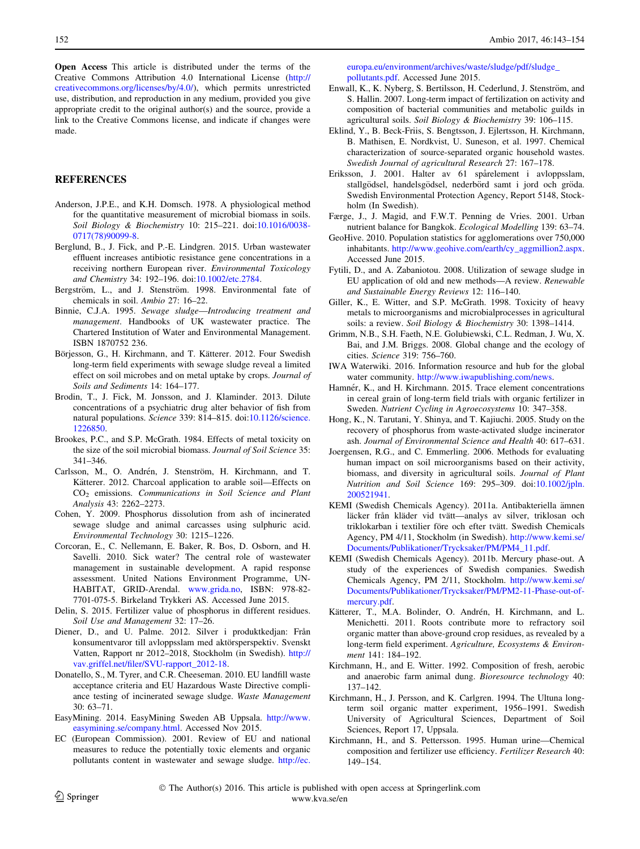<span id="page-9-0"></span>Open Access This article is distributed under the terms of the Creative Commons Attribution 4.0 International License ([http://](http://creativecommons.org/licenses/by/4.0/) [creativecommons.org/licenses/by/4.0/\)](http://creativecommons.org/licenses/by/4.0/), which permits unrestricted use, distribution, and reproduction in any medium, provided you give appropriate credit to the original author(s) and the source, provide a link to the Creative Commons license, and indicate if changes were made.

#### **REFERENCES**

- Anderson, J.P.E., and K.H. Domsch. 1978. A physiological method for the quantitative measurement of microbial biomass in soils. Soil Biology & Biochemistry 10: 215–221. doi[:10.1016/0038-](http://dx.doi.org/10.1016/0038-0717(78)90099-8) [0717\(78\)90099-8](http://dx.doi.org/10.1016/0038-0717(78)90099-8).
- Berglund, B., J. Fick, and P.-E. Lindgren. 2015. Urban wastewater effluent increases antibiotic resistance gene concentrations in a receiving northern European river. Environmental Toxicology and Chemistry 34: 192–196. doi:[10.1002/etc.2784.](http://dx.doi.org/10.1002/etc.2784)
- Bergström, L., and J. Stenström. 1998. Environmental fate of chemicals in soil. Ambio 27: 16–22.
- Binnie, C.J.A. 1995. Sewage sludge—Introducing treatment and management. Handbooks of UK wastewater practice. The Chartered Institution of Water and Environmental Management. ISBN 1870752 236.
- Böriesson, G., H. Kirchmann, and T. Kätterer. 2012. Four Swedish long-term field experiments with sewage sludge reveal a limited effect on soil microbes and on metal uptake by crops. Journal of Soils and Sediments 14: 164–177.
- Brodin, T., J. Fick, M. Jonsson, and J. Klaminder. 2013. Dilute concentrations of a psychiatric drug alter behavior of fish from natural populations. Science 339: 814–815. doi[:10.1126/science.](http://dx.doi.org/10.1126/science.1226850) [1226850.](http://dx.doi.org/10.1126/science.1226850)
- Brookes, P.C., and S.P. McGrath. 1984. Effects of metal toxicity on the size of the soil microbial biomass. Journal of Soil Science 35: 341–346.
- Carlsson, M., O. Andrén, J. Stenström, H. Kirchmann, and T. Kätterer. 2012. Charcoal application to arable soil—Effects on CO2 emissions. Communications in Soil Science and Plant Analysis 43: 2262–2273.
- Cohen, Y. 2009. Phosphorus dissolution from ash of incinerated sewage sludge and animal carcasses using sulphuric acid. Environmental Technology 30: 1215–1226.
- Corcoran, E., C. Nellemann, E. Baker, R. Bos, D. Osborn, and H. Savelli. 2010. Sick water? The central role of wastewater management in sustainable development. A rapid response assessment. United Nations Environment Programme, UN-HABITAT, GRID-Arendal. [www.grida.no,](http://www.grida.no) ISBN: 978-82- 7701-075-5. Birkeland Trykkeri AS. Accessed June 2015.
- Delin, S. 2015. Fertilizer value of phosphorus in different residues. Soil Use and Management 32: 17–26.
- Diener, D., and U. Palme. 2012. Silver i produktkedjan: Från konsumentvaror till avloppsslam med aktörsperspektiv. Svenskt Vatten, Rapport nr 2012–2018, Stockholm (in Swedish). [http://](http://vav.griffel.net/filer/SVU-rapport_2012-18) [vav.griffel.net/filer/SVU-rapport\\_2012-18](http://vav.griffel.net/filer/SVU-rapport_2012-18).
- Donatello, S., M. Tyrer, and C.R. Cheeseman. 2010. EU landfill waste acceptance criteria and EU Hazardous Waste Directive compliance testing of incinerated sewage sludge. Waste Management 30: 63–71.
- EasyMining. 2014. EasyMining Sweden AB Uppsala. [http://www.](http://www.easymining.se/company.html) [easymining.se/company.html.](http://www.easymining.se/company.html) Accessed Nov 2015.
- EC (European Commission). 2001. Review of EU and national measures to reduce the potentially toxic elements and organic pollutants content in wastewater and sewage sludge. [http://ec.](http://ec.europa.eu/environment/archives/waste/sludge/pdf/sludge_pollutants.pdf)

[europa.eu/environment/archives/waste/sludge/pdf/sludge\\_](http://ec.europa.eu/environment/archives/waste/sludge/pdf/sludge_pollutants.pdf) [pollutants.pdf](http://ec.europa.eu/environment/archives/waste/sludge/pdf/sludge_pollutants.pdf). Accessed June 2015.

- Enwall, K., K. Nyberg, S. Bertilsson, H. Cederlund, J. Stenström, and S. Hallin. 2007. Long-term impact of fertilization on activity and composition of bacterial communities and metabolic guilds in agricultural soils. Soil Biology & Biochemistry 39: 106–115.
- Eklind, Y., B. Beck-Friis, S. Bengtsson, J. Ejlertsson, H. Kirchmann, B. Mathisen, E. Nordkvist, U. Suneson, et al. 1997. Chemical characterization of source-separated organic household wastes. Swedish Journal of agricultural Research 27: 167–178.
- Eriksson, J. 2001. Halter av 61 spårelement i avloppsslam, stallgödsel, handelsgödsel, nederbörd samt i jord och gröda. Swedish Environmental Protection Agency, Report 5148, Stockholm (In Swedish).
- Færge, J., J. Magid, and F.W.T. Penning de Vries. 2001. Urban nutrient balance for Bangkok. Ecological Modelling 139: 63–74.
- GeoHive. 2010. Population statistics for agglomerations over 750,000 inhabitants. [http://www.geohive.com/earth/cy\\_aggmillion2.aspx](http://www.geohive.com/earth/cy_aggmillion2.aspx). Accessed June 2015.
- Fytili, D., and A. Zabaniotou. 2008. Utilization of sewage sludge in EU application of old and new methods—A review. Renewable and Sustainable Energy Reviews 12: 116–140.
- Giller, K., E. Witter, and S.P. McGrath. 1998. Toxicity of heavy metals to microorganisms and microbialprocesses in agricultural soils: a review. Soil Biology & Biochemistry 30: 1398–1414.
- Grimm, N.B., S.H. Faeth, N.E. Golubiewski, C.L. Redman, J. Wu, X. Bai, and J.M. Briggs. 2008. Global change and the ecology of cities. Science 319: 756–760.
- IWA Waterwiki. 2016. Information resource and hub for the global water community. [http://www.iwapublishing.com/news.](http://www.iwapublishing.com/news)
- Hamnér, K., and H. Kirchmann. 2015. Trace element concentrations in cereal grain of long-term field trials with organic fertilizer in Sweden. Nutrient Cycling in Agroecosystems 10: 347–358.
- Hong, K., N. Tarutani, Y. Shinya, and T. Kajiuchi. 2005. Study on the recovery of phosphorus from waste-activated sludge incinerator ash. Journal of Environmental Science and Health 40: 617–631.
- Joergensen, R.G., and C. Emmerling. 2006. Methods for evaluating human impact on soil microorganisms based on their activity, biomass, and diversity in agricultural soils. Journal of Plant Nutrition and Soil Science 169: 295–309. doi:[10.1002/jpln.](http://dx.doi.org/10.1002/jpln.200521941) [200521941](http://dx.doi.org/10.1002/jpln.200521941).
- KEMI (Swedish Chemicals Agency). 2011a. Antibakteriella ämnen läcker från kläder vid tvätt—analys av silver, triklosan och triklokarban i textilier före och efter tvätt. Swedish Chemicals Agency, PM 4/11, Stockholm (in Swedish). [http://www.kemi.se/](http://www.kemi.se/Documents/Publikationer/Trycksaker/PM/PM4_11.pdf) [Documents/Publikationer/Trycksaker/PM/PM4\\_11.pdf](http://www.kemi.se/Documents/Publikationer/Trycksaker/PM/PM4_11.pdf).
- KEMI (Swedish Chemicals Agency). 2011b. Mercury phase-out. A study of the experiences of Swedish companies. Swedish Chemicals Agency, PM 2/11, Stockholm. [http://www.kemi.se/](http://www.kemi.se/Documents/Publikationer/Trycksaker/PM/PM2-11-Phase-out-of-mercury.pdf) [Documents/Publikationer/Trycksaker/PM/PM2-11-Phase-out-of](http://www.kemi.se/Documents/Publikationer/Trycksaker/PM/PM2-11-Phase-out-of-mercury.pdf)[mercury.pdf.](http://www.kemi.se/Documents/Publikationer/Trycksaker/PM/PM2-11-Phase-out-of-mercury.pdf)
- Kätterer, T., M.A. Bolinder, O. Andrén, H. Kirchmann, and L. Menichetti. 2011. Roots contribute more to refractory soil organic matter than above-ground crop residues, as revealed by a long-term field experiment. Agriculture, Ecosystems & Environment 141: 184–192.
- Kirchmann, H., and E. Witter. 1992. Composition of fresh, aerobic and anaerobic farm animal dung. Bioresource technology 40: 137–142.
- Kirchmann, H., J. Persson, and K. Carlgren. 1994. The Ultuna longterm soil organic matter experiment, 1956–1991. Swedish University of Agricultural Sciences, Department of Soil Sciences, Report 17, Uppsala.
- Kirchmann, H., and S. Pettersson. 1995. Human urine—Chemical composition and fertilizer use efficiency. Fertilizer Research 40: 149–154.

The Author(s) 2016. This article is published with open access at Springerlink.com www.kva.se/en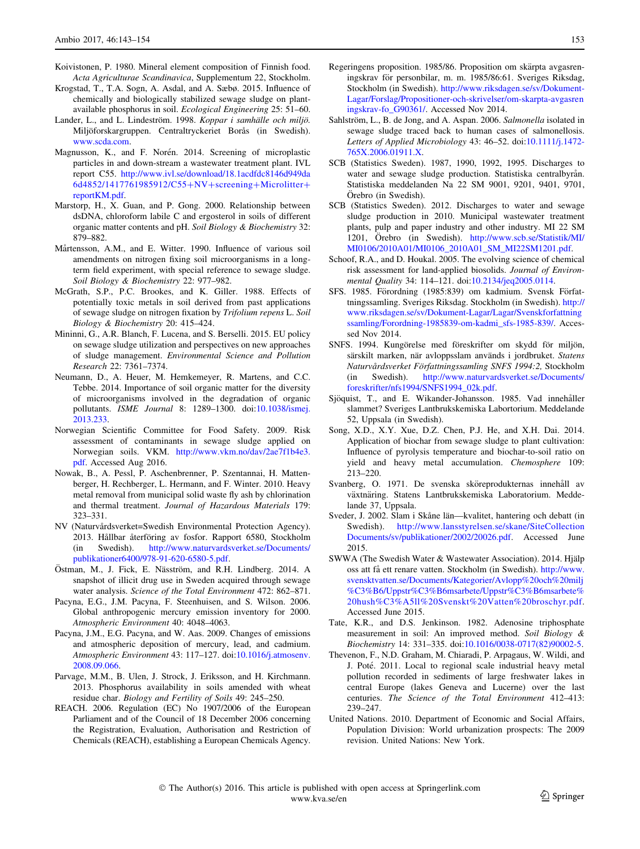- <span id="page-10-0"></span>Koivistonen, P. 1980. Mineral element composition of Finnish food. Acta Agriculturae Scandinavica, Supplementum 22, Stockholm.
- Krogstad, T., T.A. Sogn, A. Asdal, and A. Sæbø. 2015. Influence of chemically and biologically stabilized sewage sludge on plantavailable phosphorus in soil. Ecological Engineering 25: 51–60.
- Lander, L., and L. Lindeström. 1998. Koppar i samhälle och miljö. Miljöforskargruppen. Centraltryckeriet Borås (in Swedish). [www.scda.com](http://www.scda.com).
- Magnusson, K., and F. Norén. 2014. Screening of microplastic particles in and down-stream a wastewater treatment plant. IVL report C55. [http://www.ivl.se/download/18.1acdfdc8146d949da](http://www.ivl.se/download/18.1acdfdc8146d949da6d4852/1417761985912/C55%2bNV%2bscreening%2bMicrolitter%2breportKM.pdf) [6d4852/1417761985912/C55](http://www.ivl.se/download/18.1acdfdc8146d949da6d4852/1417761985912/C55%2bNV%2bscreening%2bMicrolitter%2breportKM.pdf)+NV+screening+Microlitter+ [reportKM.pdf](http://www.ivl.se/download/18.1acdfdc8146d949da6d4852/1417761985912/C55%2bNV%2bscreening%2bMicrolitter%2breportKM.pdf).
- Marstorp, H., X. Guan, and P. Gong. 2000. Relationship between dsDNA, chloroform labile C and ergosterol in soils of different organic matter contents and pH. Soil Biology & Biochemistry 32: 879–882.
- Mårtensson, A.M., and E. Witter. 1990. Influence of various soil amendments on nitrogen fixing soil microorganisms in a longterm field experiment, with special reference to sewage sludge. Soil Biology & Biochemistry 22: 977–982.
- McGrath, S.P., P.C. Brookes, and K. Giller. 1988. Effects of potentially toxic metals in soil derived from past applications of sewage sludge on nitrogen fixation by Trifolium repens L. Soil Biology & Biochemistry 20: 415–424.
- Mininni, G., A.R. Blanch, F. Lucena, and S. Berselli. 2015. EU policy on sewage sludge utilization and perspectives on new approaches of sludge management. Environmental Science and Pollution Research 22: 7361–7374.
- Neumann, D., A. Heuer, M. Hemkemeyer, R. Martens, and C.C. Tebbe. 2014. Importance of soil organic matter for the diversity of microorganisms involved in the degradation of organic pollutants. ISME Journal 8: 1289–1300. doi:[10.1038/ismej.](http://dx.doi.org/10.1038/ismej.2013.233) [2013.233.](http://dx.doi.org/10.1038/ismej.2013.233)
- Norwegian Scientific Committee for Food Safety. 2009. Risk assessment of contaminants in sewage sludge applied on Norwegian soils. VKM. [http://www.vkm.no/dav/2ae7f1b4e3.](http://www.vkm.no/dav/2ae7f1b4e3.pdf) [pdf](http://www.vkm.no/dav/2ae7f1b4e3.pdf). Accessed Aug 2016.
- Nowak, B., A. Pessl, P. Aschenbrenner, P. Szentannai, H. Mattenberger, H. Rechberger, L. Hermann, and F. Winter. 2010. Heavy metal removal from municipal solid waste fly ash by chlorination and thermal treatment. Journal of Hazardous Materials 179: 323–331.
- NV (Naturvårdsverket=Swedish Environmental Protection Agency). 2013. Hållbar återföring av fosfor. Rapport 6580, Stockholm (in Swedish). [http://www.naturvardsverket.se/Documents/](http://www.naturvardsverket.se/Documents/publikationer6400/978-91-620-6580-5.pdf) [publikationer6400/978-91-620-6580-5.pdf](http://www.naturvardsverket.se/Documents/publikationer6400/978-91-620-6580-5.pdf).
- Östman, M., J. Fick, E. Näsström, and R.H. Lindberg. 2014. A snapshot of illicit drug use in Sweden acquired through sewage water analysis. Science of the Total Environment 472: 862–871.
- Pacyna, E.G., J.M. Pacyna, F. Steenhuisen, and S. Wilson. 2006. Global anthropogenic mercury emission inventory for 2000. Atmospheric Environment 40: 4048–4063.
- Pacyna, J.M., E.G. Pacyna, and W. Aas. 2009. Changes of emissions and atmospheric deposition of mercury, lead, and cadmium. Atmospheric Environment 43: 117–127. doi[:10.1016/j.atmosenv.](http://dx.doi.org/10.1016/j.atmosenv.2008.09.066) [2008.09.066](http://dx.doi.org/10.1016/j.atmosenv.2008.09.066).
- Parvage, M.M., B. Ulen, J. Strock, J. Eriksson, and H. Kirchmann. 2013. Phosphorus availability in soils amended with wheat residue char. Biology and Fertility of Soils 49: 245–250.
- REACH. 2006. Regulation (EC) No 1907/2006 of the European Parliament and of the Council of 18 December 2006 concerning the Registration, Evaluation, Authorisation and Restriction of Chemicals (REACH), establishing a European Chemicals Agency.
- Regeringens proposition. 1985/86. Proposition om skärpta avgasreningskrav för personbilar, m. m. 1985/86:61. Sveriges Riksdag, Stockholm (in Swedish). [http://www.riksdagen.se/sv/Dokument-](http://www.riksdagen.se/sv/Dokument-Lagar/Forslag/Propositioner-och-skrivelser/om-skarpta-avgasreningskrav-fo_G90361/)[Lagar/Forslag/Propositioner-och-skrivelser/om-skarpta-avgasren](http://www.riksdagen.se/sv/Dokument-Lagar/Forslag/Propositioner-och-skrivelser/om-skarpta-avgasreningskrav-fo_G90361/) [ingskrav-fo\\_G90361/](http://www.riksdagen.se/sv/Dokument-Lagar/Forslag/Propositioner-och-skrivelser/om-skarpta-avgasreningskrav-fo_G90361/). Accessed Nov 2014.
- Sahlström, L., B. de Jong, and A. Aspan. 2006. Salmonella isolated in sewage sludge traced back to human cases of salmonellosis. Letters of Applied Microbiology 43: 46–52. doi[:10.1111/j.1472-](http://dx.doi.org/10.1111/j.1472-765X.2006.01911.X) [765X.2006.01911.X](http://dx.doi.org/10.1111/j.1472-765X.2006.01911.X).
- SCB (Statistics Sweden). 1987, 1990, 1992, 1995. Discharges to water and sewage sludge production. Statistiska centralbyrån. Statistiska meddelanden Na 22 SM 9001, 9201, 9401, 9701, Örebro (in Swedish).
- SCB (Statistics Sweden). 2012. Discharges to water and sewage sludge production in 2010. Municipal wastewater treatment plants, pulp and paper industry and other industry. MI 22 SM 1201, Örebro (in Swedish). [http://www.scb.se/Statistik/MI/](http://www.scb.se/Statistik/MI/MI0106/2010A01/MI0106_2010A01_SM_MI22SM1201.pdf) [MI0106/2010A01/MI0106\\_2010A01\\_SM\\_MI22SM1201.pdf.](http://www.scb.se/Statistik/MI/MI0106/2010A01/MI0106_2010A01_SM_MI22SM1201.pdf)
- Schoof, R.A., and D. Houkal. 2005. The evolving science of chemical risk assessment for land-applied biosolids. Journal of Environmental Quality 34: 114–121. doi:[10.2134/jeq2005.0114](http://dx.doi.org/10.2134/jeq2005.0114).
- SFS. 1985. Förordning (1985:839) om kadmium. Svensk Författningssamling. Sveriges Riksdag. Stockholm (in Swedish). [http://](http://www.riksdagen.se/sv/Dokument-Lagar/Lagar/Svenskforfattningssamling/Forordning-1985839-om-kadmi_sfs-1985-839/) [www.riksdagen.se/sv/Dokument-Lagar/Lagar/Svenskforfattning](http://www.riksdagen.se/sv/Dokument-Lagar/Lagar/Svenskforfattningssamling/Forordning-1985839-om-kadmi_sfs-1985-839/) [ssamling/Forordning-1985839-om-kadmi\\_sfs-1985-839/](http://www.riksdagen.se/sv/Dokument-Lagar/Lagar/Svenskforfattningssamling/Forordning-1985839-om-kadmi_sfs-1985-839/). Accessed Nov 2014.
- SNFS. 1994. Kungörelse med föreskrifter om skydd för miljön, särskilt marken, när avloppsslam används i jordbruket. Statens Naturvårdsverket Författningssamling SNFS 1994:2, Stockholm (in Swedish). [http://www.naturvardsverket.se/Documents/](http://www.naturvardsverket.se/Documents/foreskrifter/nfs1994/SNFS1994_02k.pdf) [foreskrifter/nfs1994/SNFS1994\\_02k.pdf.](http://www.naturvardsverket.se/Documents/foreskrifter/nfs1994/SNFS1994_02k.pdf)
- Sjöquist, T., and E. Wikander-Johansson. 1985. Vad innehåller slammet? Sveriges Lantbrukskemiska Labortorium. Meddelande 52, Uppsala (in Swedish).
- Song, X.D., X.Y. Xue, D.Z. Chen, P.J. He, and X.H. Dai. 2014. Application of biochar from sewage sludge to plant cultivation: Influence of pyrolysis temperature and biochar-to-soil ratio on yield and heavy metal accumulation. Chemosphere 109: 213–220.
- Svanberg, O. 1971. De svenska sköreprodukternas innehåll av växtnäring. Statens Lantbrukskemiska Laboratorium. Meddelande 37, Uppsala.
- Sveder, J. 2002. Slam i Skåne län-kvalitet, hantering och debatt (in Swedish). [http://www.lansstyrelsen.se/skane/SiteCollection](http://www.lansstyrelsen.se/skane/SiteCollectionDocuments/sv/publikationer/2002/20026.pdf) [Documents/sv/publikationer/2002/20026.pdf.](http://www.lansstyrelsen.se/skane/SiteCollectionDocuments/sv/publikationer/2002/20026.pdf) Accessed June 2015.
- SWWA (The Swedish Water & Wastewater Association). 2014. Hjälp oss att få ett renare vatten. Stockholm (in Swedish). [http://www.](http://www.svensktvatten.se/Documents/Kategorier/Avlopp%20och%20milj%25C3%25B6/Uppstr%25C3%25B6msarbete/Uppstr%25C3%25B6msarbete%20hush%25C3%25A5ll%20Svenskt%20Vatten%20broschyr.pdf) [svensktvatten.se/Documents/Kategorier/Avlopp%20och%20milj](http://www.svensktvatten.se/Documents/Kategorier/Avlopp%20och%20milj%25C3%25B6/Uppstr%25C3%25B6msarbete/Uppstr%25C3%25B6msarbete%20hush%25C3%25A5ll%20Svenskt%20Vatten%20broschyr.pdf) [%C3%B6/Uppstr%C3%B6msarbete/Uppstr%C3%B6msarbete%](http://www.svensktvatten.se/Documents/Kategorier/Avlopp%20och%20milj%25C3%25B6/Uppstr%25C3%25B6msarbete/Uppstr%25C3%25B6msarbete%20hush%25C3%25A5ll%20Svenskt%20Vatten%20broschyr.pdf) [20hush%C3%A5ll%20Svenskt%20Vatten%20broschyr.pdf](http://www.svensktvatten.se/Documents/Kategorier/Avlopp%20och%20milj%25C3%25B6/Uppstr%25C3%25B6msarbete/Uppstr%25C3%25B6msarbete%20hush%25C3%25A5ll%20Svenskt%20Vatten%20broschyr.pdf). Accessed June 2015.
- Tate, K.R., and D.S. Jenkinson. 1982. Adenosine triphosphate measurement in soil: An improved method. Soil Biology & Biochemistry 14: 331–335. doi[:10.1016/0038-0717\(82\)90002-5](http://dx.doi.org/10.1016/0038-0717(82)90002-5).
- Thevenon, F., N.D. Graham, M. Chiaradi, P. Arpagaus, W. Wildi, and J. Poté. 2011. Local to regional scale industrial heavy metal pollution recorded in sediments of large freshwater lakes in central Europe (lakes Geneva and Lucerne) over the last centuries. The Science of the Total Environment 412–413: 239–247.
- United Nations. 2010. Department of Economic and Social Affairs, Population Division: World urbanization prospects: The 2009 revision. United Nations: New York.
- © The Author(s) 2016. This article is published with open access at Springerlink.com www.kva.se/en  $\circled{2}$  Springer